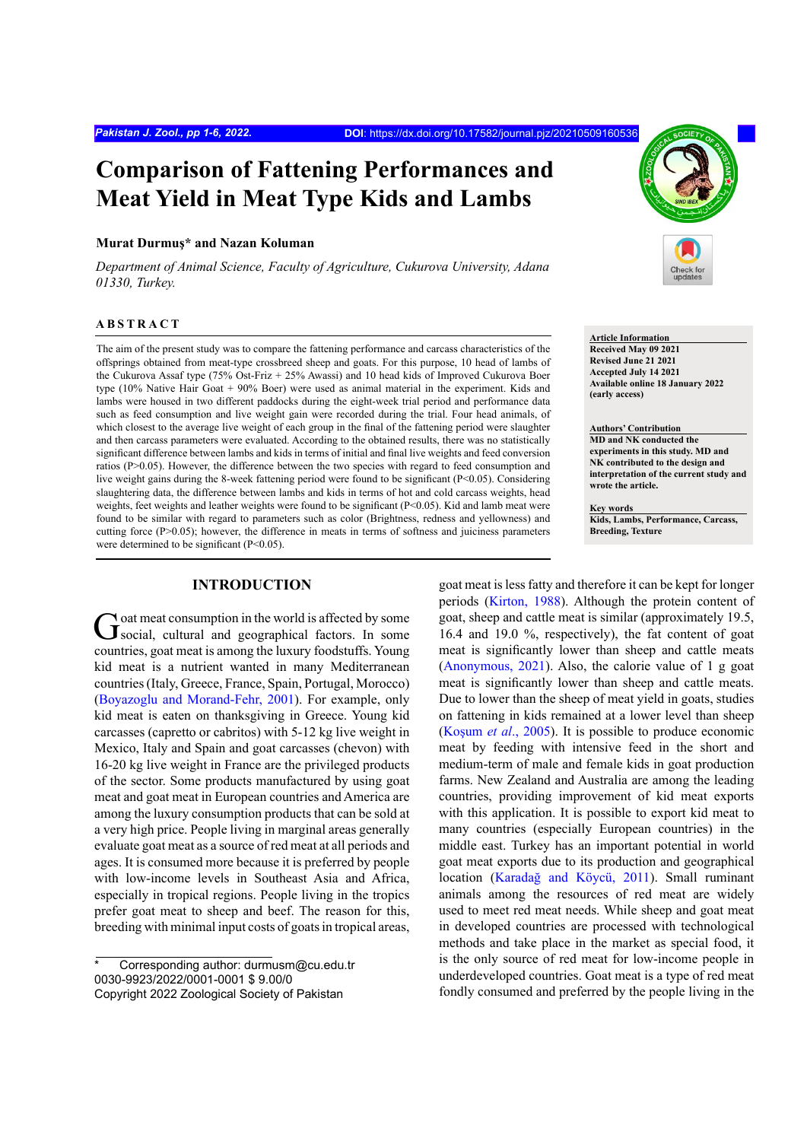# **Comparison of Fattening Performances and Meat Yield in Meat Type Kids and Lambs**

#### **Murat Durmuş\* and Nazan Koluman**

*Department of Animal Science, Faculty of Agriculture, Cukurova University, Adana 01330, Turkey.*

# **ABSTRACT**

The aim of the present study was to compare the fattening performance and carcass characteristics of the offsprings obtained from meat-type crossbreed sheep and goats. For this purpose, 10 head of lambs of the Cukurova Assaf type (75% Ost-Friz + 25% Awassi) and 10 head kids of Improved Cukurova Boer type (10% Native Hair Goat + 90% Boer) were used as animal material in the experiment. Kids and lambs were housed in two different paddocks during the eight-week trial period and performance data such as feed consumption and live weight gain were recorded during the trial. Four head animals, of which closest to the average live weight of each group in the final of the fattening period were slaughter and then carcass parameters were evaluated. According to the obtained results, there was no statistically significant difference between lambs and kids in terms of initial and final live weights and feed conversion ratios (P>0.05). However, the difference between the two species with regard to feed consumption and live weight gains during the 8-week fattening period were found to be significant (P<0.05). Considering slaughtering data, the difference between lambs and kids in terms of hot and cold carcass weights, head weights, feet weights and leather weights were found to be significant (P<0.05). Kid and lamb meat were found to be similar with regard to parameters such as color (Brightness, redness and yellowness) and cutting force (P>0.05); however, the difference in meats in terms of softness and juiciness parameters were determined to be significant (P<0.05).

### **INTRODUCTION**

Goat meat consumption in the world is affected by some social, cultural and geographical factors. In some countries, goat meat is among the luxury foodstuffs. Young kid meat is a nutrient wanted in many Mediterranean countries (Italy, Greece, France, Spain, Portugal, Morocco) [\(Boyazoglu and Morand-Fehr, 2001](#page-5-0)). For example, only kid meat is eaten on thanksgiving in Greece. Young kid carcasses (capretto or cabritos) with 5-12 kg live weight in Mexico, Italy and Spain and goat carcasses (chevon) with 16-20 kg live weight in France are the privileged products of the sector. Some products manufactured by using goat meat and goat meat in European countries and America are among the luxury consumption products that can be sold at a very high price. People living in marginal areas generally evaluate goat meat as a source of red meat at all periods and ages. It is consumed more because it is preferred by people with low-income levels in Southeast Asia and Africa, especially in tropical regions. People living in the tropics prefer goat meat to sheep and beef. The reason for this, breeding with minimal input costs of goats in tropical areas,



**Article Information Received May 09 2021 Revised June 21 2021 Accepted July 14 2021 Available online 18 January 2022 (early access)**

**Authors' Contribution MD and NK conducted the experiments in this study. MD and NK contributed to the design and interpretation of the current study and wrote the article.** 

**Key words Kids, Lambs, Performance, Carcass, Breeding, Texture**

goat meat is less fatty and therefore it can be kept for longer periods ([Kirton, 1988\)](#page-5-1). Although the protein content of goat, sheep and cattle meat is similar (approximately 19.5, 16.4 and 19.0 %, respectively), the fat content of goat meat is significantly lower than sheep and cattle meats [\(Anonymous, 2021](#page-5-2)). Also, the calorie value of 1 g goat meat is significantly lower than sheep and cattle meats. Due to lower than the sheep of meat yield in goats, studies on fattening in kids remained at a lower level than sheep (Koşum *et al*., 2005). It is possible to produce economic meat by feeding with intensive feed in the short and medium-term of male and female kids in goat production farms. New Zealand and Australia are among the leading countries, providing improvement of kid meat exports with this application. It is possible to export kid meat to many countries (especially European countries) in the middle east. Turkey has an important potential in world goat meat exports due to its production and geographical location (Karadağ and Köycü, 2011). Small ruminant animals among the resources of red meat are widely used to meet red meat needs. While sheep and goat meat in developed countries are processed with technological methods and take place in the market as special food, it is the only source of red meat for low-income people in underdeveloped countries. Goat meat is a type of red meat fondly consumed and preferred by the people living in the

Corresponding author: durmusm@cu.edu.tr 0030-9923/2022/0001-0001 \$ 9.00/0 Copyright 2022 Zoological Society of Pakistan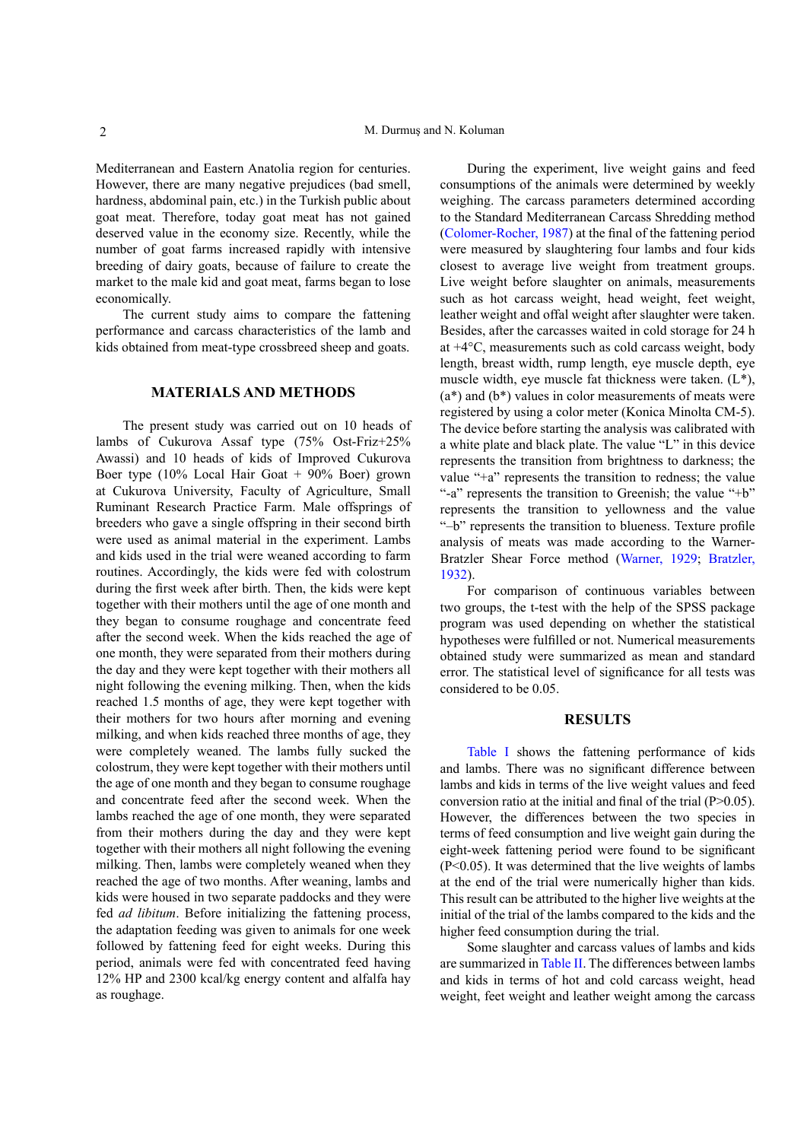Mediterranean and Eastern Anatolia region for centuries. However, there are many negative prejudices (bad smell, hardness, abdominal pain, etc.) in the Turkish public about goat meat. Therefore, today goat meat has not gained deserved value in the economy size. Recently, while the number of goat farms increased rapidly with intensive breeding of dairy goats, because of failure to create the market to the male kid and goat meat, farms began to lose economically.

The current study aims to compare the fattening performance and carcass characteristics of the lamb and kids obtained from meat-type crossbreed sheep and goats.

# **MATERIALS AND METHODS**

The present study was carried out on 10 heads of lambs of Cukurova Assaf type (75% Ost-Friz+25% Awassi) and 10 heads of kids of Improved Cukurova Boer type (10% Local Hair Goat + 90% Boer) grown at Cukurova University, Faculty of Agriculture, Small Ruminant Research Practice Farm. Male offsprings of breeders who gave a single offspring in their second birth were used as animal material in the experiment. Lambs and kids used in the trial were weaned according to farm routines. Accordingly, the kids were fed with colostrum during the first week after birth. Then, the kids were kept together with their mothers until the age of one month and they began to consume roughage and concentrate feed after the second week. When the kids reached the age of one month, they were separated from their mothers during the day and they were kept together with their mothers all night following the evening milking. Then, when the kids reached 1.5 months of age, they were kept together with their mothers for two hours after morning and evening milking, and when kids reached three months of age, they were completely weaned. The lambs fully sucked the colostrum, they were kept together with their mothers until the age of one month and they began to consume roughage and concentrate feed after the second week. When the lambs reached the age of one month, they were separated from their mothers during the day and they were kept together with their mothers all night following the evening milking. Then, lambs were completely weaned when they reached the age of two months. After weaning, lambs and kids were housed in two separate paddocks and they were fed *ad libitum*. Before initializing the fattening process, the adaptation feeding was given to animals for one week followed by fattening feed for eight weeks. During this period, animals were fed with concentrated feed having 12% HP and 2300 kcal/kg energy content and alfalfa hay as roughage.

During the experiment, live weight gains and feed consumptions of the animals were determined by weekly weighing. The carcass parameters determined according to the Standard Mediterranean Carcass Shredding method [\(Colomer-Rocher, 1987](#page-5-3)) at the final of the fattening period were measured by slaughtering four lambs and four kids closest to average live weight from treatment groups. Live weight before slaughter on animals, measurements such as hot carcass weight, head weight, feet weight, leather weight and offal weight after slaughter were taken. Besides, after the carcasses waited in cold storage for 24 h at +4°C, measurements such as cold carcass weight, body length, breast width, rump length, eye muscle depth, eye muscle width, eye muscle fat thickness were taken. (L\*),  $(a^*)$  and  $(b^*)$  values in color measurements of meats were registered by using a color meter (Konica Minolta CM-5). The device before starting the analysis was calibrated with a white plate and black plate. The value "L" in this device represents the transition from brightness to darkness; the value "+a" represents the transition to redness; the value "-a" represents the transition to Greenish; the value "+b" represents the transition to yellowness and the value "–b" represents the transition to blueness. Texture profile analysis of meats was made according to the Warner-Bratzler Shear Force method ([Warner, 1929](#page-5-4); [Bratzler,](#page-5-5) [1932\)](#page-5-5).

For comparison of continuous variables between two groups, the t-test with the help of the SPSS package program was used depending on whether the statistical hypotheses were fulfilled or not. Numerical measurements obtained study were summarized as mean and standard error. The statistical level of significance for all tests was considered to be 0.05.

# **RESULTS**

[Table I](#page-2-0) shows the fattening performance of kids and lambs. There was no significant difference between lambs and kids in terms of the live weight values and feed conversion ratio at the initial and final of the trial (P>0.05). However, the differences between the two species in terms of feed consumption and live weight gain during the eight-week fattening period were found to be significant (P<0.05). It was determined that the live weights of lambs at the end of the trial were numerically higher than kids. This result can be attributed to the higher live weights at the initial of the trial of the lambs compared to the kids and the higher feed consumption during the trial.

Some slaughter and carcass values of lambs and kids are summarized in [Table II](#page-2-1). The differences between lambs and kids in terms of hot and cold carcass weight, head weight, feet weight and leather weight among the carcass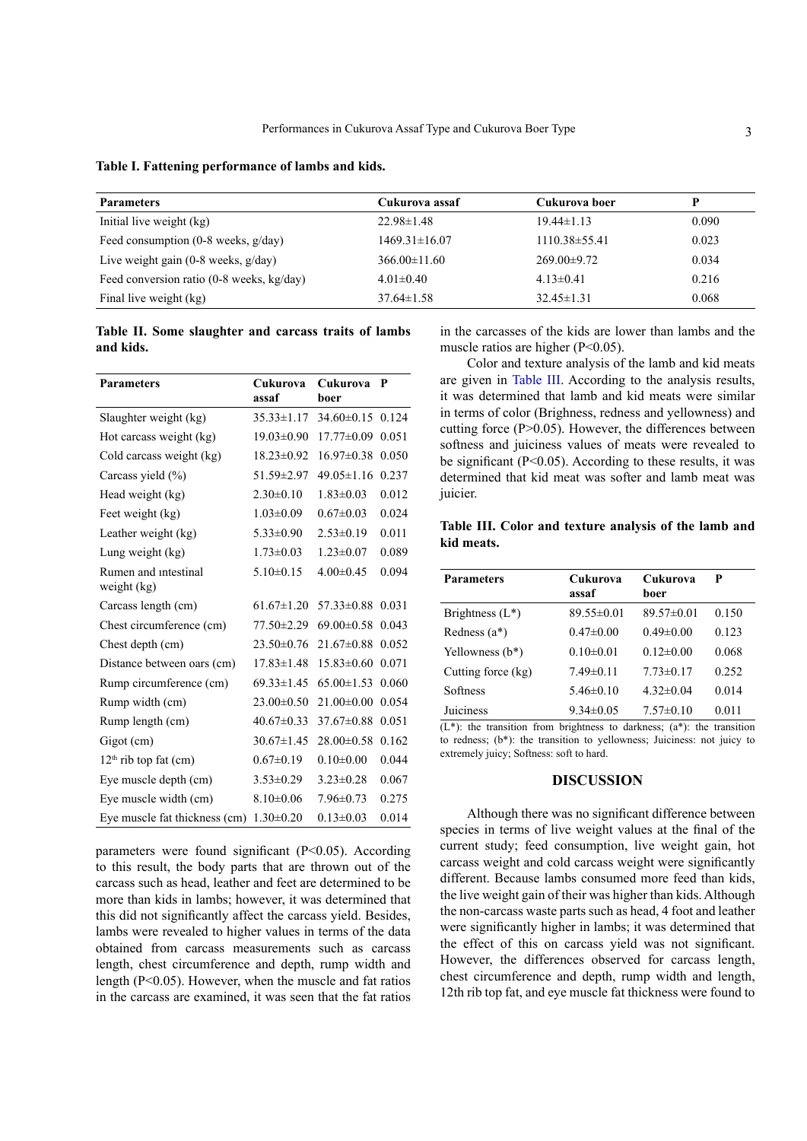<span id="page-2-0"></span>

| Table I. Fattening performance of lambs and kids. |  |  |  |  |  |
|---------------------------------------------------|--|--|--|--|--|
|---------------------------------------------------|--|--|--|--|--|

| <b>Parameters</b>                         | Cukurova assaf      | Cukurova boer      | p     |
|-------------------------------------------|---------------------|--------------------|-------|
| Initial live weight (kg)                  | $22.98 \pm 1.48$    | $19.44 \pm 1.13$   | 0.090 |
| Feed consumption $(0-8$ weeks, $g/day)$   | $1469.31 \pm 16.07$ | $1110.38\pm 55.41$ | 0.023 |
| Live weight gain $(0-8$ weeks, $g/day)$   | $366.00 \pm 11.60$  | $269.00 \pm 9.72$  | 0.034 |
| Feed conversion ratio (0-8 weeks, kg/day) | $4.01\pm0.40$       | $4.13 \pm 0.41$    | 0.216 |
| Final live weight (kg)                    | $37.64 \pm 1.58$    | $32.45 \pm 1.31$   | 0.068 |

<span id="page-2-1"></span>**Table II. Some slaughter and carcass traits of lambs and kids.**

| <b>Parameters</b>                   | Cukurova<br>assaf | Cukurova<br>boer | P     |
|-------------------------------------|-------------------|------------------|-------|
| Slaughter weight (kg)               | $35.33 \pm 1.17$  | $34.60\pm0.15$   | 0.124 |
| Hot carcass weight (kg)             | $19.03 \pm 0.90$  | $17.77\pm0.09$   | 0.051 |
| Cold carcass weight (kg)            | $18.23 \pm 0.92$  | $16.97\pm0.38$   | 0.050 |
| Carcass yield (%)                   | 51.59±2.97        | $49.05 \pm 1.16$ | 0.237 |
| Head weight (kg)                    | $2.30\pm0.10$     | $1.83 \pm 0.03$  | 0.012 |
| Feet weight (kg)                    | $1.03 \pm 0.09$   | $0.67 \pm 0.03$  | 0.024 |
| Leather weight (kg)                 | $5.33 \pm 0.90$   | $2.53 \pm 0.19$  | 0.011 |
| Lung weight (kg)                    | $1.73 \pm 0.03$   | $1.23 \pm 0.07$  | 0.089 |
| Rumen and intestinal<br>weight (kg) | $5.10 \pm 0.15$   | $4.00 \pm 0.45$  | 0.094 |
| Carcass length (cm)                 | $61.67 \pm 1.20$  | $57.33 \pm 0.88$ | 0.031 |
| Chest circumference (cm)            | 77.50 ± 2.29      | $69.00 \pm 0.58$ | 0.043 |
| Chest depth (cm)                    | $23.50 \pm 0.76$  | $21.67 \pm 0.88$ | 0.052 |
| Distance between oars (cm)          | $17.83 \pm 1.48$  | $15.83 \pm 0.60$ | 0.071 |
| Rump circumference (cm)             | $69.33 \pm 1.45$  | $65.00 \pm 1.53$ | 0.060 |
| Rump width (cm)                     | $23.00 \pm 0.50$  | $21.00 \pm 0.00$ | 0.054 |
| Rump length (cm)                    | $40.67 \pm 0.33$  | $37.67 \pm 0.88$ | 0.051 |
| Gigot (cm)                          | $30.67 \pm 1.45$  | $28.00 \pm 0.58$ | 0.162 |
| $12th$ rib top fat (cm)             | $0.67 \pm 0.19$   | $0.10 \pm 0.00$  | 0.044 |
| Eye muscle depth (cm)               | $3.53 \pm 0.29$   | $3.23 \pm 0.28$  | 0.067 |
| Eye muscle width (cm)               | $8.10 \pm 0.06$   | 7.96±0.73        | 0.275 |
| Eye muscle fat thickness (cm)       | $1.30 \pm 0.20$   | $0.13 \pm 0.03$  | 0.014 |

parameters were found significant (P<0.05). According to this result, the body parts that are thrown out of the carcass such as head, leather and feet are determined to be more than kids in lambs; however, it was determined that this did not significantly affect the carcass yield. Besides, lambs were revealed to higher values in terms of the data obtained from carcass measurements such as carcass length, chest circumference and depth, rump width and length (P<0.05). However, when the muscle and fat ratios in the carcass are examined, it was seen that the fat ratios

in the carcasses of the kids are lower than lambs and the muscle ratios are higher (P<0.05).

Color and texture analysis of the lamb and kid meats are given in [Table III.](#page-2-2) According to the analysis results, it was determined that lamb and kid meats were similar in terms of color (Brighness, redness and yellowness) and cutting force (P>0.05). However, the differences between softness and juiciness values of meats were revealed to be significant  $(P<0.05)$ . According to these results, it was determined that kid meat was softer and lamb meat was juicier.

<span id="page-2-2"></span>**Table III. Color and texture analysis of the lamb and kid meats.**

| <b>Parameters</b>  | Cukurova<br>assaf | Cukurova<br>boer | P     |
|--------------------|-------------------|------------------|-------|
| Brightness $(L^*)$ | $89.55 \pm 0.01$  | $89.57 \pm 0.01$ | 0.150 |
| Redness $(a^*)$    | $0.47\pm0.00$     | $0.49 \pm 0.00$  | 0.123 |
| Yellowness $(b^*)$ | $0.10 \pm 0.01$   | $0.12 \pm 0.00$  | 0.068 |
| Cutting force (kg) | $7.49 \pm 0.11$   | $7.73 \pm 0.17$  | 0.252 |
| Softness           | $5.46\pm0.10$     | $4.32\pm0.04$    | 0.014 |
| Juiciness          | $9.34 \pm 0.05$   | $7.57\pm0.10$    | 0.011 |

 $(L^*)$ : the transition from brightness to darkness;  $(a^*)$ : the transition to redness; (b\*): the transition to yellowness; Juiciness: not juicy to extremely juicy; Softness: soft to hard.

# **DISCUSSION**

Although there was no significant difference between species in terms of live weight values at the final of the current study; feed consumption, live weight gain, hot carcass weight and cold carcass weight were significantly different. Because lambs consumed more feed than kids, the live weight gain of their was higher than kids. Although the non-carcass waste parts such as head, 4 foot and leather were significantly higher in lambs; it was determined that the effect of this on carcass yield was not significant. However, the differences observed for carcass length, chest circumference and depth, rump width and length, 12th rib top fat, and eye muscle fat thickness were found to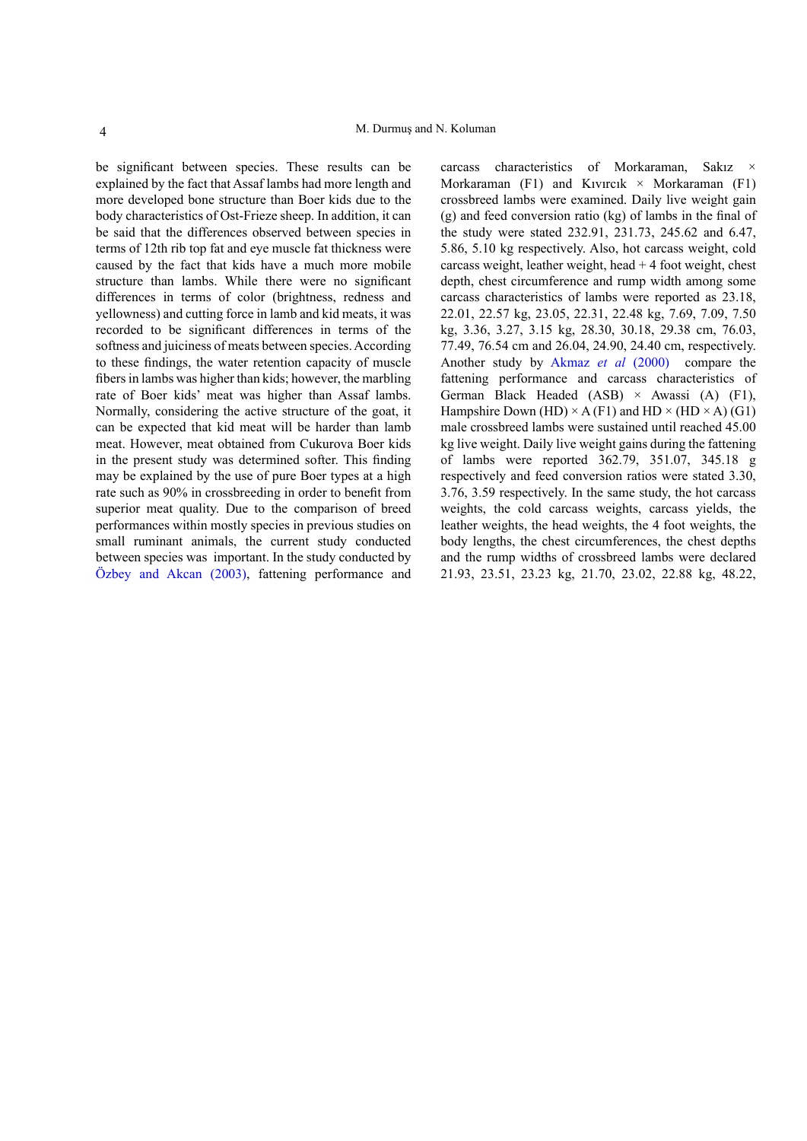be significant between species. These results can be explained by the fact that Assaf lambs had more length and more developed bone structure than Boer kids due to the body characteristics of Ost-Frieze sheep. In addition, it can be said that the differences observed between species in terms of 12th rib top fat and eye muscle fat thickness were caused by the fact that kids have a much more mobile structure than lambs. While there were no significant differences in terms of color (brightness, redness and yellowness) and cutting force in lamb and kid meats, it was recorded to be significant differences in terms of the softness and juiciness of meats between species. According to these findings, the water retention capacity of muscle fibers in lambs was higher than kids; however, the marbling rate of Boer kids' meat was higher than Assaf lambs. Normally, considering the active structure of the goat, it can be expected that kid meat will be harder than lamb meat. However, meat obtained from Cukurova Boer kids in the present study was determined softer. This finding may be explained by the use of pure Boer types at a high rate such as 90% in crossbreeding in order to benefit from superior meat quality. Due to the comparison of breed performances within mostly species in previous studies on small ruminant animals, the current study conducted between species was important. In the study conducted by [Özbey and Akcan \(2003\),](#page-5-6) fattening performance and

carcass characteristics of Morkaraman, Sakız Morkaraman (F1) and Kıvırcık  $\times$  Morkaraman (F1) crossbreed lambs were examined. Daily live weight gain (g) and feed conversion ratio (kg) of lambs in the final of the study were stated 232.91, 231.73, 245.62 and 6.47, 5.86, 5.10 kg respectively. Also, hot carcass weight, cold carcass weight, leather weight, head + 4 foot weight, chest depth, chest circumference and rump width among some carcass characteristics of lambs were reported as 23.18, 22.01, 22.57 kg, 23.05, 22.31, 22.48 kg, 7.69, 7.09, 7.50 kg, 3.36, 3.27, 3.15 kg, 28.30, 30.18, 29.38 cm, 76.03, 77.49, 76.54 cm and 26.04, 24.90, 24.40 cm, respectively. Another study by Akmaz *et al* (2000) compare the fattening performance and carcass characteristics of German Black Headed  $(ASB) \times$  Awassi  $(A)$  (F1), Hampshire Down (HD)  $\times$  A (F1) and HD  $\times$  (HD  $\times$  A) (G1) male crossbreed lambs were sustained until reached 45.00 kg live weight. Daily live weight gains during the fattening of lambs were reported 362.79, 351.07, 345.18 g respectively and feed conversion ratios were stated 3.30, 3.76, 3.59 respectively. In the same study, the hot carcass weights, the cold carcass weights, carcass yields, the leather weights, the head weights, the 4 foot weights, the body lengths, the chest circumferences, the chest depths and the rump widths of crossbreed lambs were declared 21.93, 23.51, 23.23 kg, 21.70, 23.02, 22.88 kg, 48.22,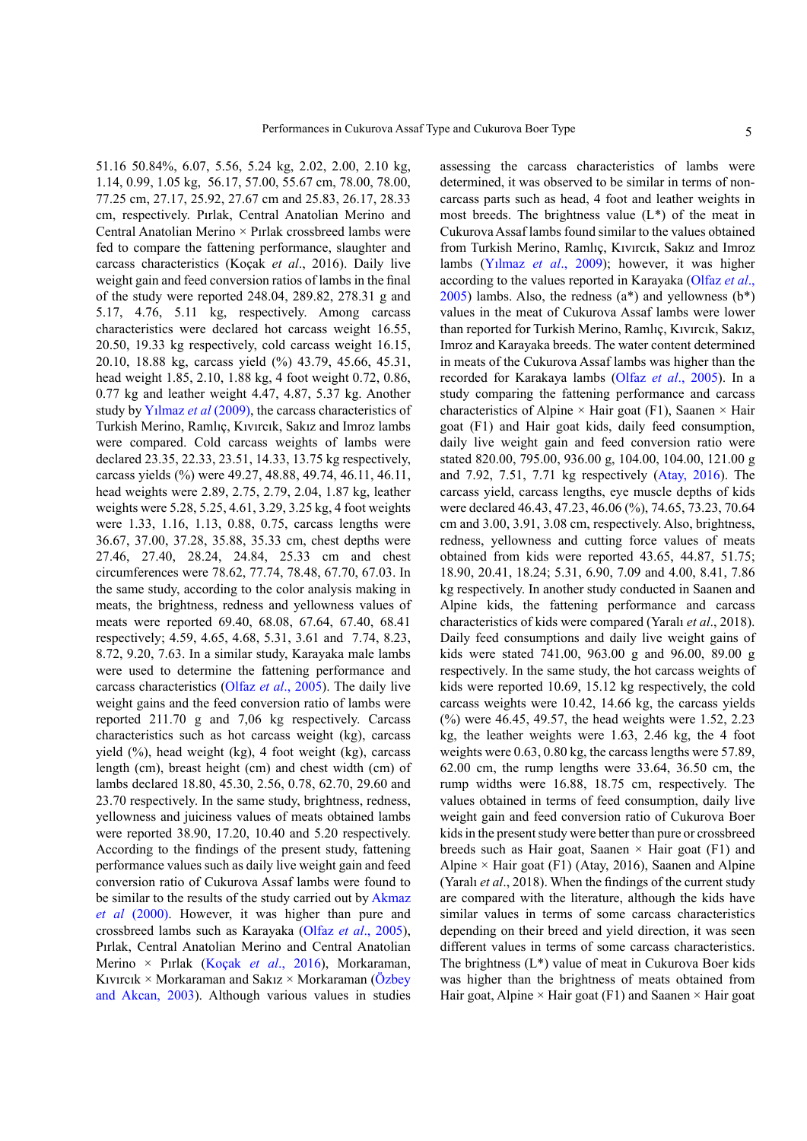51.16 50.84%, 6.07, 5.56, 5.24 kg, 2.02, 2.00, 2.10 kg, 1.14, 0.99, 1.05 kg, 56.17, 57.00, 55.67 cm, 78.00, 78.00, 77.25 cm, 27.17, 25.92, 27.67 cm and 25.83, 26.17, 28.33 cm, respectively. Pırlak, Central Anatolian Merino and Central Anatolian Merino × Pırlak crossbreed lambs were fed to compare the fattening performance, slaughter and carcass characteristics (Koçak *et al*., 2016). Daily live weight gain and feed conversion ratios of lambs in the final of the study were reported 248.04, 289.82, 278.31 g and 5.17, 4.76, 5.11 kg, respectively. Among carcass characteristics were declared hot carcass weight 16.55, 20.50, 19.33 kg respectively, cold carcass weight 16.15, 20.10, 18.88 kg, carcass yield (%) 43.79, 45.66, 45.31, head weight 1.85, 2.10, 1.88 kg, 4 foot weight 0.72, 0.86, 0.77 kg and leather weight 4.47, 4.87, 5.37 kg. Another study by [Yılmaz](#page-5-7) *et al* (2009), the carcass characteristics of Turkish Merino, Ramlıç, Kıvırcık, Sakız and Imroz lambs were compared. Cold carcass weights of lambs were declared 23.35, 22.33, 23.51, 14.33, 13.75 kg respectively, carcass yields (%) were 49.27, 48.88, 49.74, 46.11, 46.11, head weights were 2.89, 2.75, 2.79, 2.04, 1.87 kg, leather weights were 5.28, 5.25, 4.61, 3.29, 3.25 kg, 4 foot weights were 1.33, 1.16, 1.13, 0.88, 0.75, carcass lengths were 36.67, 37.00, 37.28, 35.88, 35.33 cm, chest depths were 27.46, 27.40, 28.24, 24.84, 25.33 cm and chest circumferences were 78.62, 77.74, 78.48, 67.70, 67.03. In the same study, according to the color analysis making in meats, the brightness, redness and yellowness values of meats were reported 69.40, 68.08, 67.64, 67.40, 68.41 respectively; 4.59, 4.65, 4.68, 5.31, 3.61 and 7.74, 8.23, 8.72, 9.20, 7.63. In a similar study, Karayaka male lambs were used to determine the fattening performance and carcass characteristics (Olfaz *et al*., 2005). The daily live weight gains and the feed conversion ratio of lambs were reported 211.70 g and 7,06 kg respectively. Carcass characteristics such as hot carcass weight (kg), carcass yield  $(%)$ , head weight (kg), 4 foot weight (kg), carcass length (cm), breast height (cm) and chest width (cm) of lambs declared 18.80, 45.30, 2.56, 0.78, 62.70, 29.60 and 23.70 respectively. In the same study, brightness, redness, yellowness and juiciness values of meats obtained lambs were reported 38.90, 17.20, 10.40 and 5.20 respectively. According to the findings of the present study, fattening performance values such as daily live weight gain and feed conversion ratio of Cukurova Assaf lambs were found to be similar to the results of the study carried out by Akmaz *et al* (2000). However, it was higher than pure and crossbreed lambs such as Karayaka (Olfaz *et al*., 2005), Pırlak, Central Anatolian Merino and Central Anatolian Merino × Pırlak (Koçak *et al*., 2016), Morkaraman, Kıvırcık × Morkaraman and Sakız × Morkaraman ([Özbey](#page-5-6) [and Akcan, 2003\)](#page-5-6). Although various values in studies

assessing the carcass characteristics of lambs were determined, it was observed to be similar in terms of noncarcass parts such as head, 4 foot and leather weights in most breeds. The brightness value  $(L^*)$  of the meat in Cukurova Assaf lambs found similar to the values obtained from Turkish Merino, Ramlıç, Kıvırcık, Sakız and Imroz lambs ([Yılmaz](#page-5-7) *et al*., 2009); however, it was higher according to the values reported in Karayaka (Olfaz *et al*.,  $2005$ ) lambs. Also, the redness ( $a^*$ ) and yellowness ( $b^*$ ) values in the meat of Cukurova Assaf lambs were lower than reported for Turkish Merino, Ramlıç, Kıvırcık, Sakız, Imroz and Karayaka breeds. The water content determined in meats of the Cukurova Assaf lambs was higher than the recorded for Karakaya lambs (Olfaz *et al*., 2005). In a study comparing the fattening performance and carcass characteristics of Alpine  $\times$  Hair goat (F1), Saanen  $\times$  Hair goat (F1) and Hair goat kids, daily feed consumption, daily live weight gain and feed conversion ratio were stated 820.00, 795.00, 936.00 g, 104.00, 104.00, 121.00 g and 7.92, 7.51, 7.71 kg respectively ([Atay, 2016](#page-5-8)). The carcass yield, carcass lengths, eye muscle depths of kids were declared 46.43, 47.23, 46.06 (%), 74.65, 73.23, 70.64 cm and 3.00, 3.91, 3.08 cm, respectively. Also, brightness, redness, yellowness and cutting force values of meats obtained from kids were reported 43.65, 44.87, 51.75; 18.90, 20.41, 18.24; 5.31, 6.90, 7.09 and 4.00, 8.41, 7.86 kg respectively. In another study conducted in Saanen and Alpine kids, the fattening performance and carcass characteristics of kids were compared (Yaralı *et al*., 2018). Daily feed consumptions and daily live weight gains of kids were stated 741.00, 963.00 g and 96.00, 89.00 g respectively. In the same study, the hot carcass weights of kids were reported 10.69, 15.12 kg respectively, the cold carcass weights were 10.42, 14.66 kg, the carcass yields (%) were 46.45, 49.57, the head weights were 1.52, 2.23 kg, the leather weights were 1.63, 2.46 kg, the 4 foot weights were 0.63, 0.80 kg, the carcass lengths were 57.89, 62.00 cm, the rump lengths were 33.64, 36.50 cm, the rump widths were 16.88, 18.75 cm, respectively. The values obtained in terms of feed consumption, daily live weight gain and feed conversion ratio of Cukurova Boer kids in the present study were better than pure or crossbreed breeds such as Hair goat, Saanen  $\times$  Hair goat (F1) and Alpine  $\times$  Hair goat (F1) (Atay, 2016), Saanen and Alpine (Yaralı *et al*., 2018). When the findings of the current study are compared with the literature, although the kids have similar values in terms of some carcass characteristics depending on their breed and yield direction, it was seen different values in terms of some carcass characteristics. The brightness  $(L^*)$  value of meat in Cukurova Boer kids was higher than the brightness of meats obtained from Hair goat, Alpine  $\times$  Hair goat (F1) and Saanen  $\times$  Hair goat